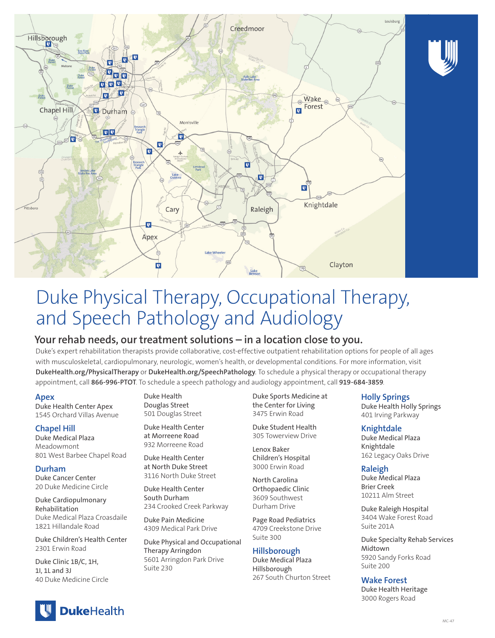

# Duke Physical Therapy, Occupational Therapy, and Speech Pathology and Audiology

## **Your rehab needs, our treatment solutions – in a location close to you.**

Duke's expert rehabilitation therapists provide collaborative, cost-effective outpatient rehabilitation options for people of all ages with musculoskeletal, cardiopulmonary, neurologic, women's health, or developmental conditions. For more information, visit **DukeHealth.org/PhysicalTherapy** or **DukeHealth.org/SpeechPathology**. To schedule a physical therapy or occupational therapy appointment, call **866-996-PTOT**. To schedule a speech pathology and audiology appointment, call **919-684-3859**.

## **Apex**

Duke Health Center Apex 1545 Orchard Villas Avenue

## **Chapel Hill**

Duke Medical Plaza Meadowmont 801 West Barbee Chapel Road

**Durham** Duke Cancer Center 20 Duke Medicine Circle

Duke Cardiopulmonary Rehabilitation Duke Medical Plaza Croasdaile 1821 Hillandale Road

Duke Children's Health Center 2301 Erwin Road

Duke Clinic 1B/C, 1H, 1I, 1L and 3J 40 Duke Medicine Circle Duke Health Douglas Street 501 Douglas Street

Duke Health Center at Morreene Road 932 Morreene Road

Duke Health Center at North Duke Street 3116 North Duke Street

Duke Health Center South Durham 234 Crooked Creek Parkway

Duke Pain Medicine 4309 Medical Park Drive

Duke Physical and Occupational Therapy Arringdon 5601 Arringdon Park Drive Suite 230

Duke Sports Medicine at the Center for Living 3475 Erwin Road

Duke Student Health 305 Towerview Drive

Lenox Baker Children's Hospital 3000 Erwin Road

North Carolina Orthopaedic Clinic 3609 Southwest Durham Drive

Page Road Pediatrics 4709 Creekstone Drive Suite 300

## **Hillsborough**

Duke Medical Plaza Hillsborough 267 South Churton Street

## **Holly Springs**

Duke Health Holly Springs 401 Irving Parkway

## **Knightdale**

Duke Medical Plaza Knightdale 162 Legacy Oaks Drive

## **Raleigh**

Duke Medical Plaza Brier Creek 10211 Alm Street

Duke Raleigh Hospital 3404 Wake Forest Road Suite 201A

Duke Specialty Rehab Services Midtown 5920 Sandy Forks Road Suite 200

## **Wake Forest**

Duke Health Heritage 3000 Rogers Road